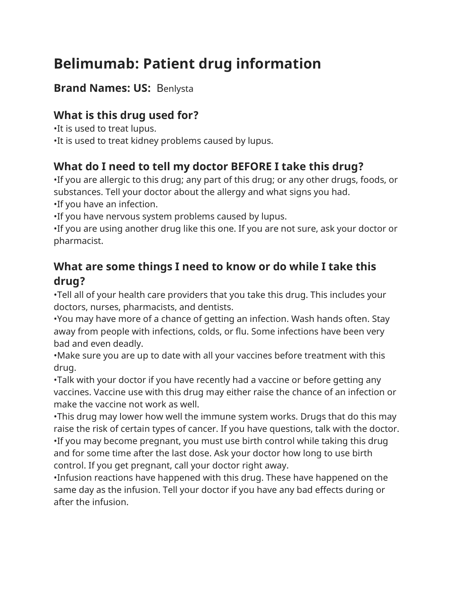# **Belimumab: Patient drug information**

#### **Brand Names: US:** Benlysta

## **What is this drug used for?**

•It is used to treat lupus. •It is used to treat kidney problems caused by lupus.

## **What do I need to tell my doctor BEFORE I take this drug?**

•If you are allergic to this drug; any part of this drug; or any other drugs, foods, or substances. Tell your doctor about the allergy and what signs you had. •If you have an infection.

•If you have nervous system problems caused by lupus.

•If you are using another drug like this one. If you are not sure, ask your doctor or pharmacist.

#### **What are some things I need to know or do while I take this drug?**

•Tell all of your health care providers that you take this drug. This includes your doctors, nurses, pharmacists, and dentists.

•You may have more of a chance of getting an infection. Wash hands often. Stay away from people with infections, colds, or flu. Some infections have been very bad and even deadly.

•Make sure you are up to date with all your vaccines before treatment with this drug.

•Talk with your doctor if you have recently had a vaccine or before getting any vaccines. Vaccine use with this drug may either raise the chance of an infection or make the vaccine not work as well.

•This drug may lower how well the immune system works. Drugs that do this may raise the risk of certain types of cancer. If you have questions, talk with the doctor. •If you may become pregnant, you must use birth control while taking this drug and for some time after the last dose. Ask your doctor how long to use birth control. If you get pregnant, call your doctor right away.

•Infusion reactions have happened with this drug. These have happened on the same day as the infusion. Tell your doctor if you have any bad effects during or after the infusion.